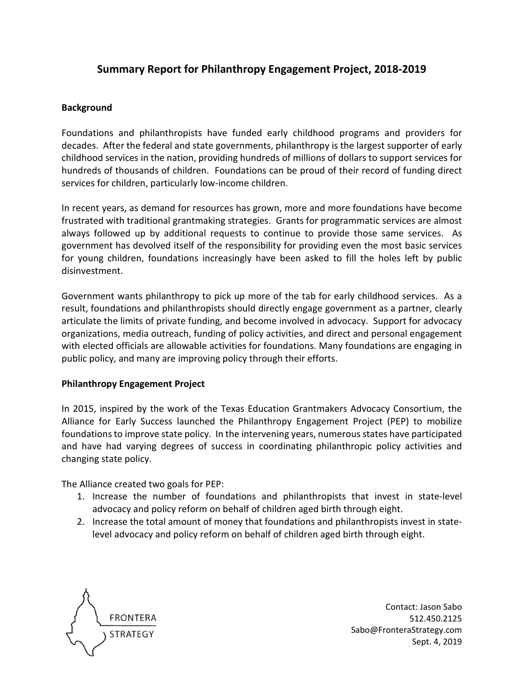# **Summary Report for Philanthropy Engagement Project, 2018-2019**

#### **Background**

Foundations and philanthropists have funded early childhood programs and providers for decades. After the federal and state governments, philanthropy is the largest supporter of early childhood services in the nation, providing hundreds of millions of dollars to support services for hundreds of thousands of children. Foundations can be proud of their record of funding direct services for children, particularly low-income children.

In recent years, as demand for resources has grown, more and more foundations have become frustrated with traditional grantmaking strategies. Grants for programmatic services are almost always followed up by additional requests to continue to provide those same services. As government has devolved itself of the responsibility for providing even the most basic services for young children, foundations increasingly have been asked to fill the holes left by public disinvestment.

Government wants philanthropy to pick up more of the tab for early childhood services. As a result, foundations and philanthropists should directly engage government as a partner, clearly articulate the limits of private funding, and become involved in advocacy. Support for advocacy organizations, media outreach, funding of policy activities, and direct and personal engagement with elected officials are allowable activities for foundations. Many foundations are engaging in public policy, and many are improving policy through their efforts.

#### **Philanthropy Engagement Project**

In 2015, inspired by the work of the Texas Education Grantmakers Advocacy Consortium, the Alliance for Early Success launched the Philanthropy Engagement Project (PEP) to mobilize foundations to improve state policy. In the intervening years, numerous states have participated and have had varying degrees of success in coordinating philanthropic policy activities and changing state policy.

The Alliance created two goals for PEP:

- 1. Increase the number of foundations and philanthropists that invest in state-level advocacy and policy reform on behalf of children aged birth through eight.
- 2. Increase the total amount of money that foundations and philanthropists invest in statelevel advocacy and policy reform on behalf of children aged birth through eight.



Contact: Jason Sabo 512.450.2125 Sabo@FronteraStrategy.com Sept. 4, 2019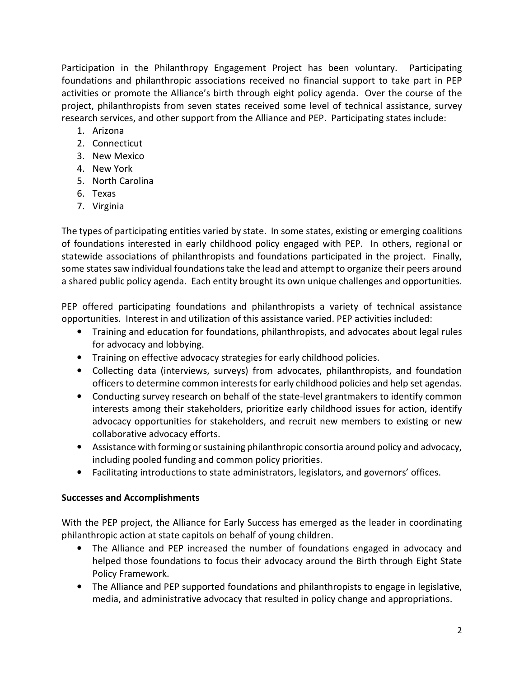Participation in the Philanthropy Engagement Project has been voluntary. Participating foundations and philanthropic associations received no financial support to take part in PEP activities or promote the Alliance's birth through eight policy agenda. Over the course of the project, philanthropists from seven states received some level of technical assistance, survey research services, and other support from the Alliance and PEP. Participating states include:

- 1. Arizona
- 2. Connecticut
- 3. New Mexico
- 4. New York
- 5. North Carolina
- 6. Texas
- 7. Virginia

The types of participating entities varied by state. In some states, existing or emerging coalitions of foundations interested in early childhood policy engaged with PEP. In others, regional or statewide associations of philanthropists and foundations participated in the project. Finally, some states saw individual foundations take the lead and attempt to organize their peers around a shared public policy agenda. Each entity brought its own unique challenges and opportunities.

PEP offered participating foundations and philanthropists a variety of technical assistance opportunities. Interest in and utilization of this assistance varied. PEP activities included:

- Training and education for foundations, philanthropists, and advocates about legal rules for advocacy and lobbying.
- Training on effective advocacy strategies for early childhood policies.
- Collecting data (interviews, surveys) from advocates, philanthropists, and foundation officers to determine common interests for early childhood policies and help set agendas.
- Conducting survey research on behalf of the state-level grantmakers to identify common interests among their stakeholders, prioritize early childhood issues for action, identify advocacy opportunities for stakeholders, and recruit new members to existing or new collaborative advocacy efforts.
- Assistance with forming or sustaining philanthropic consortia around policy and advocacy, including pooled funding and common policy priorities.
- Facilitating introductions to state administrators, legislators, and governors' offices.

### **Successes and Accomplishments**

With the PEP project, the Alliance for Early Success has emerged as the leader in coordinating philanthropic action at state capitols on behalf of young children.

- The Alliance and PEP increased the number of foundations engaged in advocacy and helped those foundations to focus their advocacy around the Birth through Eight State Policy Framework.
- The Alliance and PEP supported foundations and philanthropists to engage in legislative, media, and administrative advocacy that resulted in policy change and appropriations.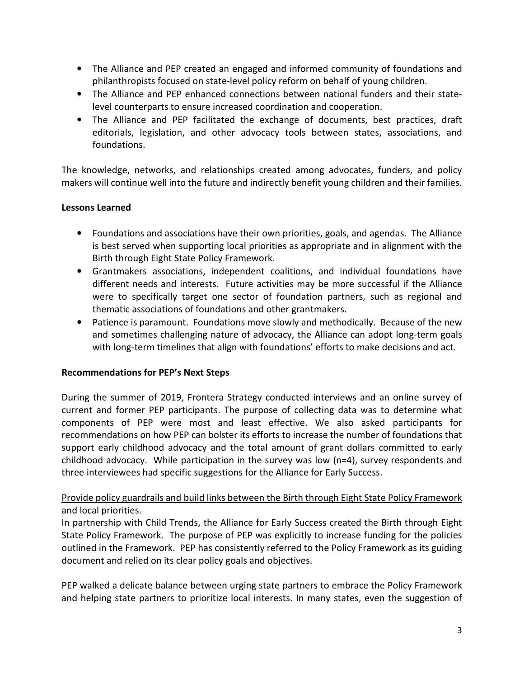- The Alliance and PEP created an engaged and informed community of foundations and philanthropists focused on state-level policy reform on behalf of young children.
- The Alliance and PEP enhanced connections between national funders and their statelevel counterparts to ensure increased coordination and cooperation.
- The Alliance and PEP facilitated the exchange of documents, best practices, draft editorials, legislation, and other advocacy tools between states, associations, and foundations.

The knowledge, networks, and relationships created among advocates, funders, and policy makers will continue well into the future and indirectly benefit young children and their families.

### **Lessons Learned**

- Foundations and associations have their own priorities, goals, and agendas. The Alliance is best served when supporting local priorities as appropriate and in alignment with the Birth through Eight State Policy Framework.
- Grantmakers associations, independent coalitions, and individual foundations have different needs and interests. Future activities may be more successful if the Alliance were to specifically target one sector of foundation partners, such as regional and thematic associations of foundations and other grantmakers.
- Patience is paramount. Foundations move slowly and methodically. Because of the new and sometimes challenging nature of advocacy, the Alliance can adopt long-term goals with long-term timelines that align with foundations' efforts to make decisions and act.

### **Recommendations for PEP's Next Steps**

During the summer of 2019, Frontera Strategy conducted interviews and an online survey of current and former PEP participants. The purpose of collecting data was to determine what components of PEP were most and least effective. We also asked participants for recommendations on how PEP can bolster its efforts to increase the number of foundations that support early childhood advocacy and the total amount of grant dollars committed to early childhood advocacy. While participation in the survey was low (n=4), survey respondents and three interviewees had specific suggestions for the Alliance for Early Success.

# Provide policy guardrails and build links between the Birth through Eight State Policy Framework and local priorities.

In partnership with Child Trends, the Alliance for Early Success created the Birth through Eight State Policy Framework. The purpose of PEP was explicitly to increase funding for the policies outlined in the Framework. PEP has consistently referred to the Policy Framework as its guiding document and relied on its clear policy goals and objectives.

PEP walked a delicate balance between urging state partners to embrace the Policy Framework and helping state partners to prioritize local interests. In many states, even the suggestion of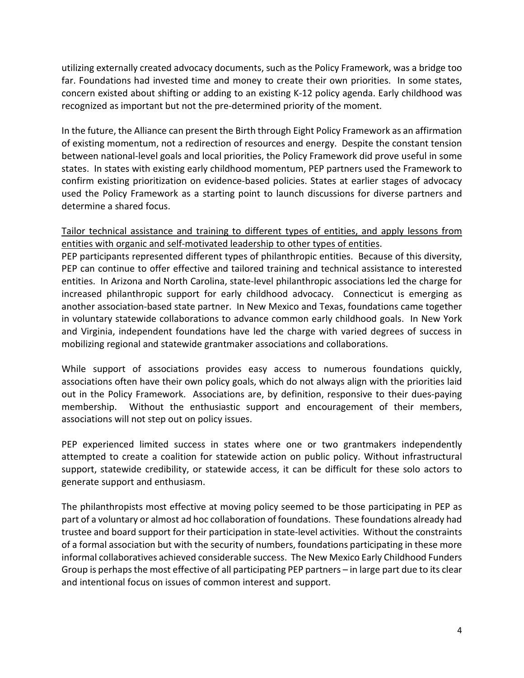utilizing externally created advocacy documents, such as the Policy Framework, was a bridge too far. Foundations had invested time and money to create their own priorities. In some states, concern existed about shifting or adding to an existing K-12 policy agenda. Early childhood was recognized as important but not the pre-determined priority of the moment.

In the future, the Alliance can present the Birth through Eight Policy Framework as an affirmation of existing momentum, not a redirection of resources and energy. Despite the constant tension between national-level goals and local priorities, the Policy Framework did prove useful in some states. In states with existing early childhood momentum, PEP partners used the Framework to confirm existing prioritization on evidence-based policies. States at earlier stages of advocacy used the Policy Framework as a starting point to launch discussions for diverse partners and determine a shared focus.

Tailor technical assistance and training to different types of entities, and apply lessons from entities with organic and self-motivated leadership to other types of entities.

PEP participants represented different types of philanthropic entities. Because of this diversity, PEP can continue to offer effective and tailored training and technical assistance to interested entities. In Arizona and North Carolina, state-level philanthropic associations led the charge for increased philanthropic support for early childhood advocacy. Connecticut is emerging as another association-based state partner. In New Mexico and Texas, foundations came together in voluntary statewide collaborations to advance common early childhood goals. In New York and Virginia, independent foundations have led the charge with varied degrees of success in mobilizing regional and statewide grantmaker associations and collaborations.

While support of associations provides easy access to numerous foundations quickly, associations often have their own policy goals, which do not always align with the priorities laid out in the Policy Framework. Associations are, by definition, responsive to their dues-paying membership. Without the enthusiastic support and encouragement of their members, associations will not step out on policy issues.

PEP experienced limited success in states where one or two grantmakers independently attempted to create a coalition for statewide action on public policy. Without infrastructural support, statewide credibility, or statewide access, it can be difficult for these solo actors to generate support and enthusiasm.

The philanthropists most effective at moving policy seemed to be those participating in PEP as part of a voluntary or almost ad hoc collaboration of foundations. These foundations already had trustee and board support for their participation in state-level activities. Without the constraints of a formal association but with the security of numbers, foundations participating in these more informal collaboratives achieved considerable success. The New Mexico Early Childhood Funders Group is perhaps the most effective of all participating PEP partners – in large part due to its clear and intentional focus on issues of common interest and support.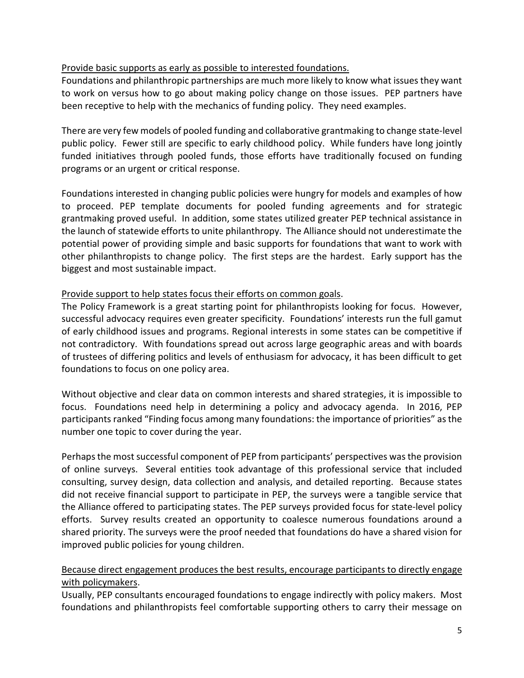## Provide basic supports as early as possible to interested foundations.

Foundations and philanthropic partnerships are much more likely to know what issues they want to work on versus how to go about making policy change on those issues. PEP partners have been receptive to help with the mechanics of funding policy. They need examples.

There are very few models of pooled funding and collaborative grantmaking to change state-level public policy. Fewer still are specific to early childhood policy. While funders have long jointly funded initiatives through pooled funds, those efforts have traditionally focused on funding programs or an urgent or critical response.

Foundations interested in changing public policies were hungry for models and examples of how to proceed. PEP template documents for pooled funding agreements and for strategic grantmaking proved useful. In addition, some states utilized greater PEP technical assistance in the launch of statewide efforts to unite philanthropy. The Alliance should not underestimate the potential power of providing simple and basic supports for foundations that want to work with other philanthropists to change policy. The first steps are the hardest. Early support has the biggest and most sustainable impact.

### Provide support to help states focus their efforts on common goals.

The Policy Framework is a great starting point for philanthropists looking for focus. However, successful advocacy requires even greater specificity. Foundations' interests run the full gamut of early childhood issues and programs. Regional interests in some states can be competitive if not contradictory. With foundations spread out across large geographic areas and with boards of trustees of differing politics and levels of enthusiasm for advocacy, it has been difficult to get foundations to focus on one policy area.

Without objective and clear data on common interests and shared strategies, it is impossible to focus. Foundations need help in determining a policy and advocacy agenda. In 2016, PEP participants ranked "Finding focus among many foundations: the importance of priorities" as the number one topic to cover during the year.

Perhaps the most successful component of PEP from participants' perspectives was the provision of online surveys. Several entities took advantage of this professional service that included consulting, survey design, data collection and analysis, and detailed reporting. Because states did not receive financial support to participate in PEP, the surveys were a tangible service that the Alliance offered to participating states. The PEP surveys provided focus for state-level policy efforts. Survey results created an opportunity to coalesce numerous foundations around a shared priority. The surveys were the proof needed that foundations do have a shared vision for improved public policies for young children.

### Because direct engagement produces the best results, encourage participants to directly engage with policymakers.

Usually, PEP consultants encouraged foundations to engage indirectly with policy makers. Most foundations and philanthropists feel comfortable supporting others to carry their message on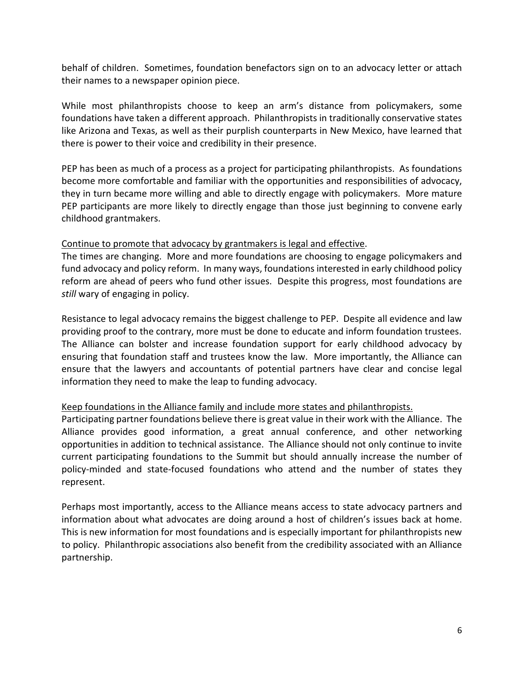behalf of children. Sometimes, foundation benefactors sign on to an advocacy letter or attach their names to a newspaper opinion piece.

While most philanthropists choose to keep an arm's distance from policymakers, some foundations have taken a different approach. Philanthropists in traditionally conservative states like Arizona and Texas, as well as their purplish counterparts in New Mexico, have learned that there is power to their voice and credibility in their presence.

PEP has been as much of a process as a project for participating philanthropists. As foundations become more comfortable and familiar with the opportunities and responsibilities of advocacy, they in turn became more willing and able to directly engage with policymakers. More mature PEP participants are more likely to directly engage than those just beginning to convene early childhood grantmakers.

#### Continue to promote that advocacy by grantmakers is legal and effective.

The times are changing. More and more foundations are choosing to engage policymakers and fund advocacy and policy reform. In many ways, foundations interested in early childhood policy reform are ahead of peers who fund other issues. Despite this progress, most foundations are *still* wary of engaging in policy.

Resistance to legal advocacy remains the biggest challenge to PEP. Despite all evidence and law providing proof to the contrary, more must be done to educate and inform foundation trustees. The Alliance can bolster and increase foundation support for early childhood advocacy by ensuring that foundation staff and trustees know the law. More importantly, the Alliance can ensure that the lawyers and accountants of potential partners have clear and concise legal information they need to make the leap to funding advocacy.

### Keep foundations in the Alliance family and include more states and philanthropists.

Participating partner foundations believe there is great value in their work with the Alliance. The Alliance provides good information, a great annual conference, and other networking opportunities in addition to technical assistance. The Alliance should not only continue to invite current participating foundations to the Summit but should annually increase the number of policy-minded and state-focused foundations who attend and the number of states they represent.

Perhaps most importantly, access to the Alliance means access to state advocacy partners and information about what advocates are doing around a host of children's issues back at home. This is new information for most foundations and is especially important for philanthropists new to policy. Philanthropic associations also benefit from the credibility associated with an Alliance partnership.